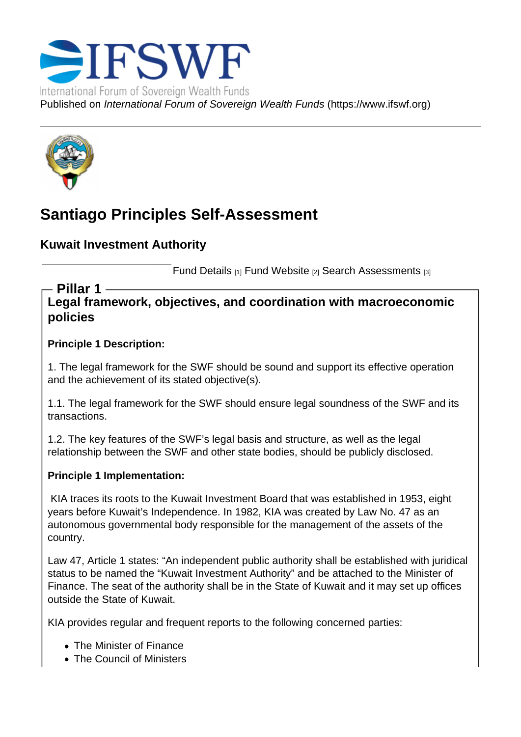# Santiago Principles Self-Assessment

Kuwait Investment Authority

Fund Details [1] Fund Website [2] Search Assessments [3]

Legal framework, objectives, and coordination with macroeconomic policies Pillar 1

Principle 1 Description:

1. The legal framework for the SWF should be sound and support its effective operation and the achievement of its stated objective(s).

1.1. The legal framework for the SWF should ensure legal soundness of the SWF and its transactions.

1.2. The key features of the SWF's legal basis and structure, as well as the legal relationship between the SWF and other state bodies, should be publicly disclosed.

Principle 1 Implementation:

 KIA traces its roots to the Kuwait Investment Board that was established in 1953, eight years before Kuwait's Independence. In 1982, KIA was created by Law No. 47 as an autonomous governmental body responsible for the management of the assets of the country.

Law 47, Article 1 states: "An independent public authority shall be established with juridical status to be named the "Kuwait Investment Authority" and be attached to the Minister of Finance. The seat of the authority shall be in the State of Kuwait and it may set up offices outside the State of Kuwait.

KIA provides regular and frequent reports to the following concerned parties:

- The Minister of Finance
- The Council of Ministers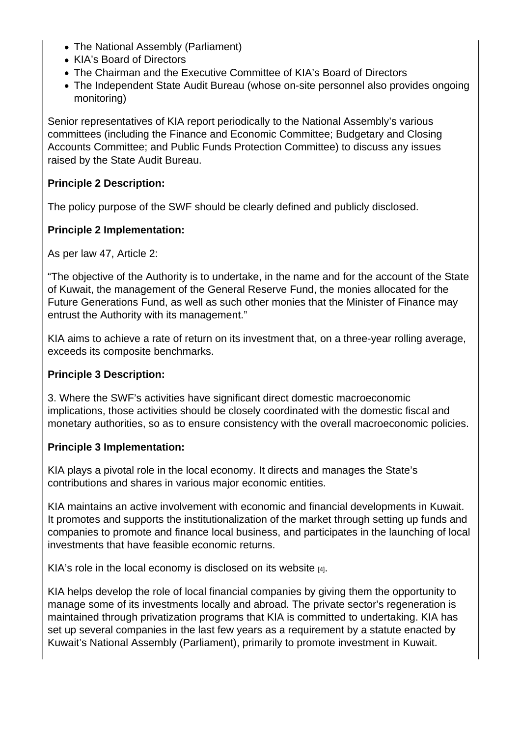- The National Assembly (Parliament)
- KIA's Board of Directors
- The Chairman and the Executive Committee of KIA's Board of Directors
- The Independent State Audit Bureau (whose on-site personnel also provides ongoing monitoring)

Senior representatives of KIA report periodically to the National Assembly's various committees (including the Finance and Economic Committee; Budgetary and Closing Accounts Committee; and Public Funds Protection Committee) to discuss any issues raised by the State Audit Bureau.

Principle 2 Description:

The policy purpose of the SWF should be clearly defined and publicly disclosed.

Principle 2 Implementation:

As per law 47, Article 2:

"The objective of the Authority is to undertake, in the name and for the account of the State of Kuwait, the management of the General Reserve Fund, the monies allocated for the Future Generations Fund, as well as such other monies that the Minister of Finance may entrust the Authority with its management."

KIA aims to achieve a rate of return on its investment that, on a three-year rolling average, exceeds its composite benchmarks.

Principle 3 Description:

3. Where the SWF's activities have significant direct domestic macroeconomic implications, those activities should be closely coordinated with the domestic fiscal and monetary authorities, so as to ensure consistency with the overall macroeconomic policies.

Principle 3 Implementation:

KIA plays a pivotal role in the local economy. It directs and manages the State's contributions and shares in various major economic entities.

KIA maintains an active involvement with economic and financial developments in Kuwait. It promotes and supports the institutionalization of the market through setting up funds and companies to promote and finance local business, and participates in the launching of local investments that have feasible economic returns.

KIA's role in the local economy is disclosed on its website  $H_1$ .

KIA helps develop the role of local financial companies by giving them the opportunity to manage some of its investments locally and abroad. The private sector's regeneration is maintained through privatization programs that KI[A is com](https://kia.gov.kw/about-kia/)mitted to undertaking. KIA has set up several companies in the last few years as a requirement by a statute enacted by Kuwait's National Assembly (Parliament), primarily to promote investment in Kuwait.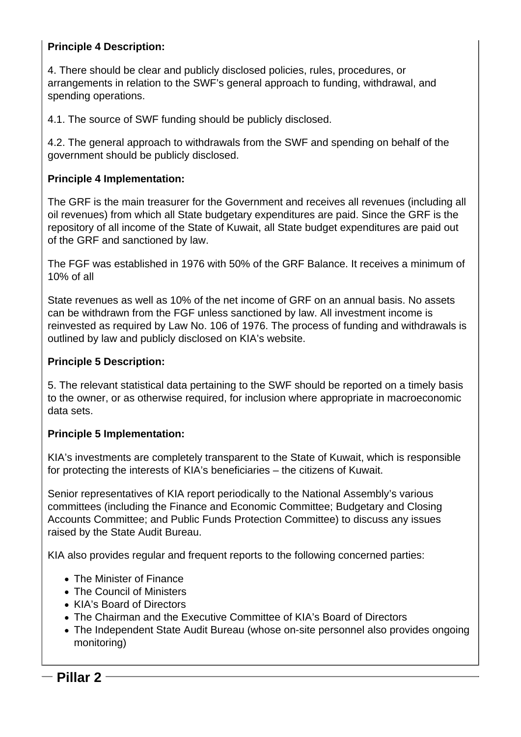#### **Principle 4 Description:**

4. There should be clear and publicly disclosed policies, rules, procedures, or arrangements in relation to the SWF's general approach to funding, withdrawal, and spending operations.

4.1. The source of SWF funding should be publicly disclosed.

4.2. The general approach to withdrawals from the SWF and spending on behalf of the government should be publicly disclosed.

#### **Principle 4 Implementation:**

The GRF is the main treasurer for the Government and receives all revenues (including all oil revenues) from which all State budgetary expenditures are paid. Since the GRF is the repository of all income of the State of Kuwait, all State budget expenditures are paid out of the GRF and sanctioned by law.

The FGF was established in 1976 with 50% of the GRF Balance. It receives a minimum of 10% of all

State revenues as well as 10% of the net income of GRF on an annual basis. No assets can be withdrawn from the FGF unless sanctioned by law. All investment income is reinvested as required by Law No. 106 of 1976. The process of funding and withdrawals is outlined by law and publicly disclosed on KIA's website.

#### **Principle 5 Description:**

5. The relevant statistical data pertaining to the SWF should be reported on a timely basis to the owner, or as otherwise required, for inclusion where appropriate in macroeconomic data sets.

#### **Principle 5 Implementation:**

KIA's investments are completely transparent to the State of Kuwait, which is responsible for protecting the interests of KIA's beneficiaries – the citizens of Kuwait.

Senior representatives of KIA report periodically to the National Assembly's various committees (including the Finance and Economic Committee; Budgetary and Closing Accounts Committee; and Public Funds Protection Committee) to discuss any issues raised by the State Audit Bureau.

KIA also provides regular and frequent reports to the following concerned parties:

- The Minister of Finance
- The Council of Ministers
- KIA's Board of Directors
- The Chairman and the Executive Committee of KIA's Board of Directors
- The Independent State Audit Bureau (whose on-site personnel also provides ongoing monitoring)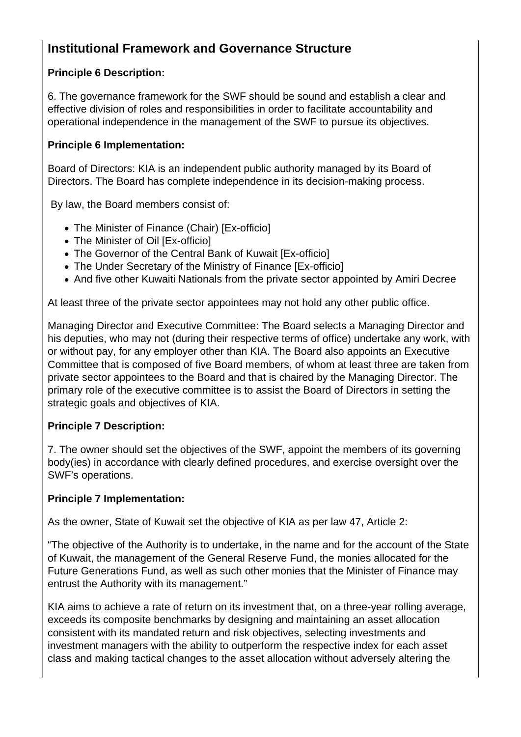## **Institutional Framework and Governance Structure**

## **Principle 6 Description:**

6. The governance framework for the SWF should be sound and establish a clear and effective division of roles and responsibilities in order to facilitate accountability and operational independence in the management of the SWF to pursue its objectives.

#### **Principle 6 Implementation:**

Board of Directors: KIA is an independent public authority managed by its Board of Directors. The Board has complete independence in its decision-making process.

By law, the Board members consist of:

- The Minister of Finance (Chair) [Ex-officio]
- The Minister of Oil [Ex-officio]
- The Governor of the Central Bank of Kuwait [Ex-officio]
- The Under Secretary of the Ministry of Finance [Ex-officio]
- And five other Kuwaiti Nationals from the private sector appointed by Amiri Decree

At least three of the private sector appointees may not hold any other public office.

Managing Director and Executive Committee: The Board selects a Managing Director and his deputies, who may not (during their respective terms of office) undertake any work, with or without pay, for any employer other than KIA. The Board also appoints an Executive Committee that is composed of five Board members, of whom at least three are taken from private sector appointees to the Board and that is chaired by the Managing Director. The primary role of the executive committee is to assist the Board of Directors in setting the strategic goals and objectives of KIA.

### **Principle 7 Description:**

7. The owner should set the objectives of the SWF, appoint the members of its governing body(ies) in accordance with clearly defined procedures, and exercise oversight over the SWF's operations.

### **Principle 7 Implementation:**

As the owner, State of Kuwait set the objective of KIA as per law 47, Article 2:

"The objective of the Authority is to undertake, in the name and for the account of the State of Kuwait, the management of the General Reserve Fund, the monies allocated for the Future Generations Fund, as well as such other monies that the Minister of Finance may entrust the Authority with its management."

KIA aims to achieve a rate of return on its investment that, on a three-year rolling average, exceeds its composite benchmarks by designing and maintaining an asset allocation consistent with its mandated return and risk objectives, selecting investments and investment managers with the ability to outperform the respective index for each asset class and making tactical changes to the asset allocation without adversely altering the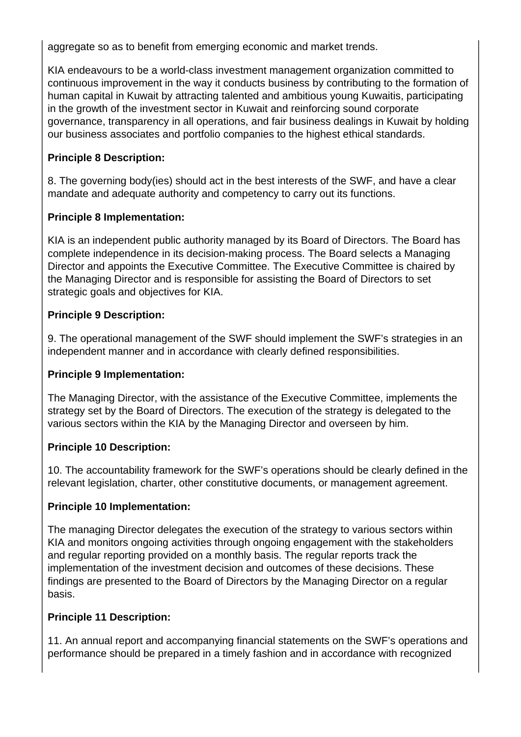aggregate so as to benefit from emerging economic and market trends.

KIA endeavours to be a world-class investment management organization committed to continuous improvement in the way it conducts business by contributing to the formation of human capital in Kuwait by attracting talented and ambitious young Kuwaitis, participating in the growth of the investment sector in Kuwait and reinforcing sound corporate governance, transparency in all operations, and fair business dealings in Kuwait by holding our business associates and portfolio companies to the highest ethical standards.

## **Principle 8 Description:**

8. The governing body(ies) should act in the best interests of the SWF, and have a clear mandate and adequate authority and competency to carry out its functions.

## **Principle 8 Implementation:**

KIA is an independent public authority managed by its Board of Directors. The Board has complete independence in its decision-making process. The Board selects a Managing Director and appoints the Executive Committee. The Executive Committee is chaired by the Managing Director and is responsible for assisting the Board of Directors to set strategic goals and objectives for KIA.

### **Principle 9 Description:**

9. The operational management of the SWF should implement the SWF's strategies in an independent manner and in accordance with clearly defined responsibilities.

### **Principle 9 Implementation:**

The Managing Director, with the assistance of the Executive Committee, implements the strategy set by the Board of Directors. The execution of the strategy is delegated to the various sectors within the KIA by the Managing Director and overseen by him.

### **Principle 10 Description:**

10. The accountability framework for the SWF's operations should be clearly defined in the relevant legislation, charter, other constitutive documents, or management agreement.

### **Principle 10 Implementation:**

The managing Director delegates the execution of the strategy to various sectors within KIA and monitors ongoing activities through ongoing engagement with the stakeholders and regular reporting provided on a monthly basis. The regular reports track the implementation of the investment decision and outcomes of these decisions. These findings are presented to the Board of Directors by the Managing Director on a regular basis.

### **Principle 11 Description:**

11. An annual report and accompanying financial statements on the SWF's operations and performance should be prepared in a timely fashion and in accordance with recognized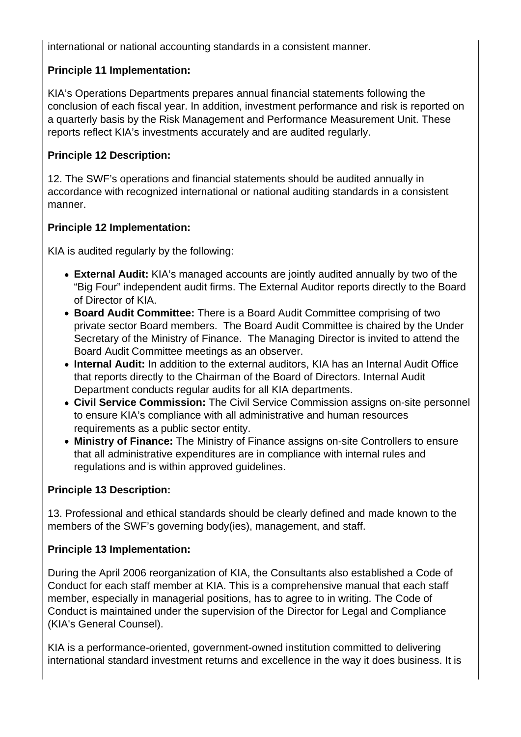international or national accounting standards in a consistent manner.

## **Principle 11 Implementation:**

KIA's Operations Departments prepares annual financial statements following the conclusion of each fiscal year. In addition, investment performance and risk is reported on a quarterly basis by the Risk Management and Performance Measurement Unit. These reports reflect KIA's investments accurately and are audited regularly.

## **Principle 12 Description:**

12. The SWF's operations and financial statements should be audited annually in accordance with recognized international or national auditing standards in a consistent manner.

## **Principle 12 Implementation:**

KIA is audited regularly by the following:

- **External Audit:** KIA's managed accounts are jointly audited annually by two of the "Big Four" independent audit firms. The External Auditor reports directly to the Board of Director of KIA.
- **Board Audit Committee:** There is a Board Audit Committee comprising of two private sector Board members. The Board Audit Committee is chaired by the Under Secretary of the Ministry of Finance. The Managing Director is invited to attend the Board Audit Committee meetings as an observer.
- **Internal Audit:** In addition to the external auditors, KIA has an Internal Audit Office that reports directly to the Chairman of the Board of Directors. Internal Audit Department conducts regular audits for all KIA departments.
- **Civil Service Commission:** The Civil Service Commission assigns on-site personnel to ensure KIA's compliance with all administrative and human resources requirements as a public sector entity.
- **Ministry of Finance:** The Ministry of Finance assigns on-site Controllers to ensure that all administrative expenditures are in compliance with internal rules and regulations and is within approved guidelines.

### **Principle 13 Description:**

13. Professional and ethical standards should be clearly defined and made known to the members of the SWF's governing body(ies), management, and staff.

### **Principle 13 Implementation:**

During the April 2006 reorganization of KIA, the Consultants also established a Code of Conduct for each staff member at KIA. This is a comprehensive manual that each staff member, especially in managerial positions, has to agree to in writing. The Code of Conduct is maintained under the supervision of the Director for Legal and Compliance (KIA's General Counsel).

KIA is a performance-oriented, government-owned institution committed to delivering international standard investment returns and excellence in the way it does business. It is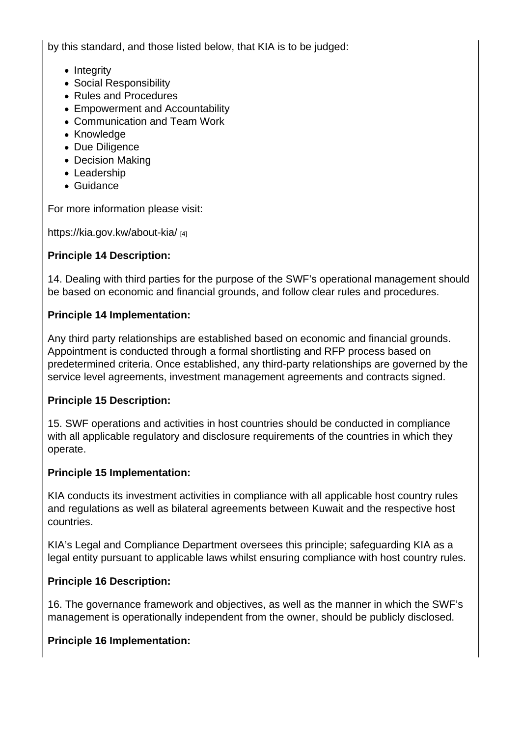by this standard, and those listed below, that KIA is to be judged:

- Integrity
- Social Responsibility
- Rules and Procedures
- Empowerment and Accountability
- Communication and Team Work
- Knowledge
- Due Diligence
- Decision Making
- Leadership
- Guidance

For more information please visit:

https://kia.gov.kw/about-kia/ [4]

Principle 14 Description:

[14. Dealing with third parties](https://kia.gov.kw/about-kia/) for the purpose of the SWF's operational management should be based on economic and financial grounds, and follow clear rules and procedures.

Principle 14 Implementation:

Any third party relationships are established based on economic and financial grounds. Appointment is conducted through a formal shortlisting and RFP process based on predetermined criteria. Once established, any third-party relationships are governed by the service level agreements, investment management agreements and contracts signed.

Principle 15 Description:

15. SWF operations and activities in host countries should be conducted in compliance with all applicable regulatory and disclosure requirements of the countries in which they operate.

Principle 15 Implementation:

KIA conducts its investment activities in compliance with all applicable host country rules and regulations as well as bilateral agreements between Kuwait and the respective host countries.

KIA's Legal and Compliance Department oversees this principle; safeguarding KIA as a legal entity pursuant to applicable laws whilst ensuring compliance with host country rules.

Principle 16 Description:

16. The governance framework and objectives, as well as the manner in which the SWF's management is operationally independent from the owner, should be publicly disclosed.

Principle 16 Implementation: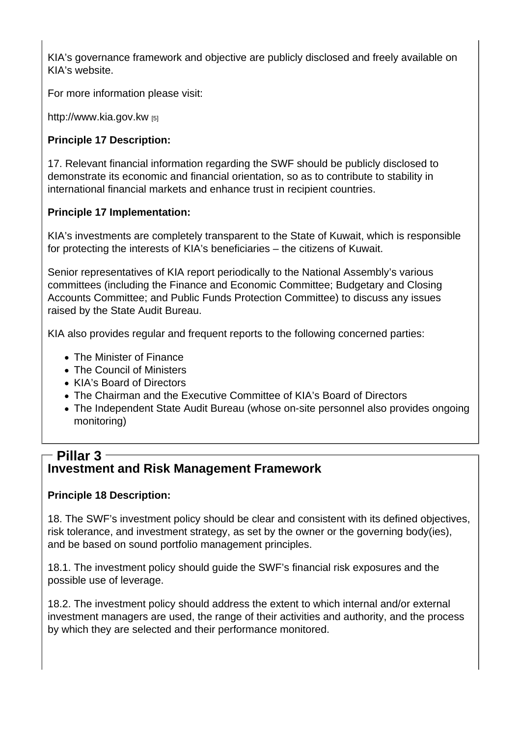KIA's governance framework and objective are publicly disclosed and freely available on KIA's website.

For more information please visit:

http://www.kia.gov.kw [5]

Principle 17 Description:

[17. Relevant financial](http://www.kia.gov.kw) information regarding the SWF should be publicly disclosed to demonstrate its economic and financial orientation, so as to contribute to stability in international financial markets and enhance trust in recipient countries.

Principle 17 Implementation:

KIA's investments are completely transparent to the State of Kuwait, which is responsible for protecting the interests of KIA's beneficiaries – the citizens of Kuwait.

Senior representatives of KIA report periodically to the National Assembly's various committees (including the Finance and Economic Committee; Budgetary and Closing Accounts Committee; and Public Funds Protection Committee) to discuss any issues raised by the State Audit Bureau.

KIA also provides regular and frequent reports to the following concerned parties:

- The Minister of Finance
- The Council of Ministers
- KIA's Board of Directors
- The Chairman and the Executive Committee of KIA's Board of Directors
- The Independent State Audit Bureau (whose on-site personnel also provides ongoing monitoring)

## Investment and Risk Management Framework Pillar 3

Principle 18 Description:

18. The SWF's investment policy should be clear and consistent with its defined objectives, risk tolerance, and investment strategy, as set by the owner or the governing body(ies), and be based on sound portfolio management principles.

18.1. The investment policy should guide the SWF's financial risk exposures and the possible use of leverage.

18.2. The investment policy should address the extent to which internal and/or external investment managers are used, the range of their activities and authority, and the process by which they are selected and their performance monitored.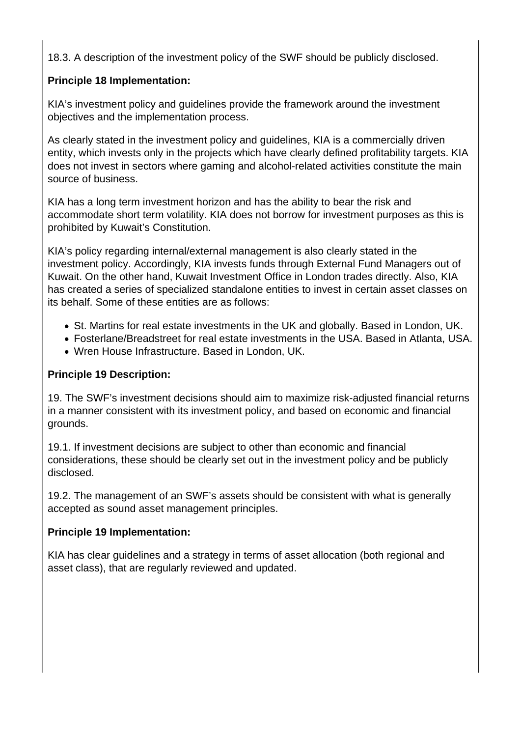18.3. A description of the investment policy of the SWF should be publicly disclosed.

### **Principle 18 Implementation:**

KIA's investment policy and guidelines provide the framework around the investment objectives and the implementation process.

As clearly stated in the investment policy and guidelines, KIA is a commercially driven entity, which invests only in the projects which have clearly defined profitability targets. KIA does not invest in sectors where gaming and alcohol-related activities constitute the main source of business.

KIA has a long term investment horizon and has the ability to bear the risk and accommodate short term volatility. KIA does not borrow for investment purposes as this is prohibited by Kuwait's Constitution.

KIA's policy regarding internal/external management is also clearly stated in the investment policy. Accordingly, KIA invests funds through External Fund Managers out of Kuwait. On the other hand, Kuwait Investment Office in London trades directly. Also, KIA has created a series of specialized standalone entities to invest in certain asset classes on its behalf. Some of these entities are as follows:

- St. Martins for real estate investments in the UK and globally. Based in London, UK.
- Fosterlane/Breadstreet for real estate investments in the USA. Based in Atlanta, USA.
- Wren House Infrastructure. Based in London, UK.

### **Principle 19 Description:**

19. The SWF's investment decisions should aim to maximize risk-adjusted financial returns in a manner consistent with its investment policy, and based on economic and financial grounds.

19.1. If investment decisions are subject to other than economic and financial considerations, these should be clearly set out in the investment policy and be publicly disclosed.

19.2. The management of an SWF's assets should be consistent with what is generally accepted as sound asset management principles.

### **Principle 19 Implementation:**

KIA has clear guidelines and a strategy in terms of asset allocation (both regional and asset class), that are regularly reviewed and updated.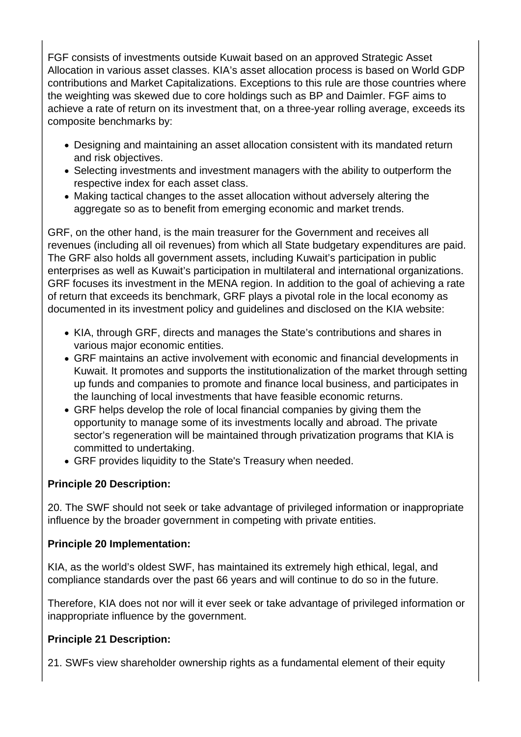FGF consists of investments outside Kuwait based on an approved Strategic Asset Allocation in various asset classes. KIA's asset allocation process is based on World GDP contributions and Market Capitalizations. Exceptions to this rule are those countries where the weighting was skewed due to core holdings such as BP and Daimler. FGF aims to achieve a rate of return on its investment that, on a three-year rolling average, exceeds its composite benchmarks by:

- Designing and maintaining an asset allocation consistent with its mandated return and risk objectives.
- Selecting investments and investment managers with the ability to outperform the respective index for each asset class.
- Making tactical changes to the asset allocation without adversely altering the aggregate so as to benefit from emerging economic and market trends.

GRF, on the other hand, is the main treasurer for the Government and receives all revenues (including all oil revenues) from which all State budgetary expenditures are paid. The GRF also holds all government assets, including Kuwait's participation in public enterprises as well as Kuwait's participation in multilateral and international organizations. GRF focuses its investment in the MENA region. In addition to the goal of achieving a rate of return that exceeds its benchmark, GRF plays a pivotal role in the local economy as documented in its investment policy and guidelines and disclosed on the KIA website:

- KIA, through GRF, directs and manages the State's contributions and shares in various major economic entities.
- GRF maintains an active involvement with economic and financial developments in Kuwait. It promotes and supports the institutionalization of the market through setting up funds and companies to promote and finance local business, and participates in the launching of local investments that have feasible economic returns.
- GRF helps develop the role of local financial companies by giving them the opportunity to manage some of its investments locally and abroad. The private sector's regeneration will be maintained through privatization programs that KIA is committed to undertaking.
- GRF provides liquidity to the State's Treasury when needed.

### **Principle 20 Description:**

20. The SWF should not seek or take advantage of privileged information or inappropriate influence by the broader government in competing with private entities.

### **Principle 20 Implementation:**

KIA, as the world's oldest SWF, has maintained its extremely high ethical, legal, and compliance standards over the past 66 years and will continue to do so in the future.

Therefore, KIA does not nor will it ever seek or take advantage of privileged information or inappropriate influence by the government.

### **Principle 21 Description:**

21. SWFs view shareholder ownership rights as a fundamental element of their equity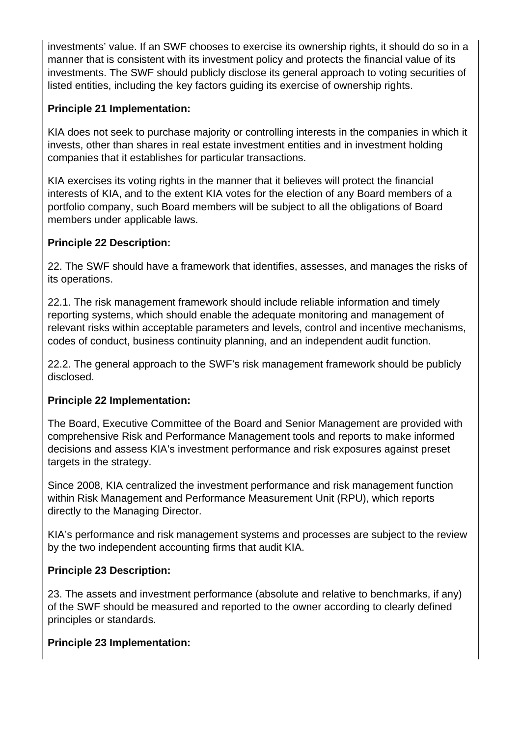investments' value. If an SWF chooses to exercise its ownership rights, it should do so in a manner that is consistent with its investment policy and protects the financial value of its investments. The SWF should publicly disclose its general approach to voting securities of listed entities, including the key factors guiding its exercise of ownership rights.

#### **Principle 21 Implementation:**

KIA does not seek to purchase majority or controlling interests in the companies in which it invests, other than shares in real estate investment entities and in investment holding companies that it establishes for particular transactions.

KIA exercises its voting rights in the manner that it believes will protect the financial interests of KIA, and to the extent KIA votes for the election of any Board members of a portfolio company, such Board members will be subject to all the obligations of Board members under applicable laws.

#### **Principle 22 Description:**

22. The SWF should have a framework that identifies, assesses, and manages the risks of its operations.

22.1. The risk management framework should include reliable information and timely reporting systems, which should enable the adequate monitoring and management of relevant risks within acceptable parameters and levels, control and incentive mechanisms, codes of conduct, business continuity planning, and an independent audit function.

22.2. The general approach to the SWF's risk management framework should be publicly disclosed.

#### **Principle 22 Implementation:**

The Board, Executive Committee of the Board and Senior Management are provided with comprehensive Risk and Performance Management tools and reports to make informed decisions and assess KIA's investment performance and risk exposures against preset targets in the strategy.

Since 2008, KIA centralized the investment performance and risk management function within Risk Management and Performance Measurement Unit (RPU), which reports directly to the Managing Director.

KIA's performance and risk management systems and processes are subject to the review by the two independent accounting firms that audit KIA.

#### **Principle 23 Description:**

23. The assets and investment performance (absolute and relative to benchmarks, if any) of the SWF should be measured and reported to the owner according to clearly defined principles or standards.

### **Principle 23 Implementation:**